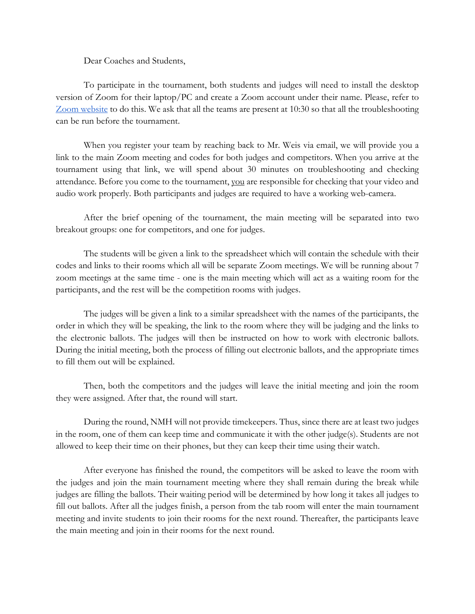Dear Coaches and Students,

To participate in the tournament, both students and judges will need to install the desktop version of Zoom for their laptop/PC and create a Zoom account under their name. Please, refer to [Zoom website](https://zoom.us/freesignup/) to do this. We ask that all the teams are present at 10:30 so that all the troubleshooting can be run before the tournament.

When you register your team by reaching back to Mr. Weis via email, we will provide you a link to the main Zoom meeting and codes for both judges and competitors. When you arrive at the tournament using that link, we will spend about 30 minutes on troubleshooting and checking attendance. Before you come to the tournament, you are responsible for checking that your video and audio work properly. Both participants and judges are required to have a working web-camera.

After the brief opening of the tournament, the main meeting will be separated into two breakout groups: one for competitors, and one for judges.

The students will be given a link to the spreadsheet which will contain the schedule with their codes and links to their rooms which all will be separate Zoom meetings. We will be running about 7 zoom meetings at the same time - one is the main meeting which will act as a waiting room for the participants, and the rest will be the competition rooms with judges.

The judges will be given a link to a similar spreadsheet with the names of the participants, the order in which they will be speaking, the link to the room where they will be judging and the links to the electronic ballots. The judges will then be instructed on how to work with electronic ballots. During the initial meeting, both the process of filling out electronic ballots, and the appropriate times to fill them out will be explained.

Then, both the competitors and the judges will leave the initial meeting and join the room they were assigned. After that, the round will start.

During the round, NMH will not provide timekeepers. Thus, since there are at least two judges in the room, one of them can keep time and communicate it with the other judge(s). Students are not allowed to keep their time on their phones, but they can keep their time using their watch.

After everyone has finished the round, the competitors will be asked to leave the room with the judges and join the main tournament meeting where they shall remain during the break while judges are filling the ballots. Their waiting period will be determined by how long it takes all judges to fill out ballots. After all the judges finish, a person from the tab room will enter the main tournament meeting and invite students to join their rooms for the next round. Thereafter, the participants leave the main meeting and join in their rooms for the next round.